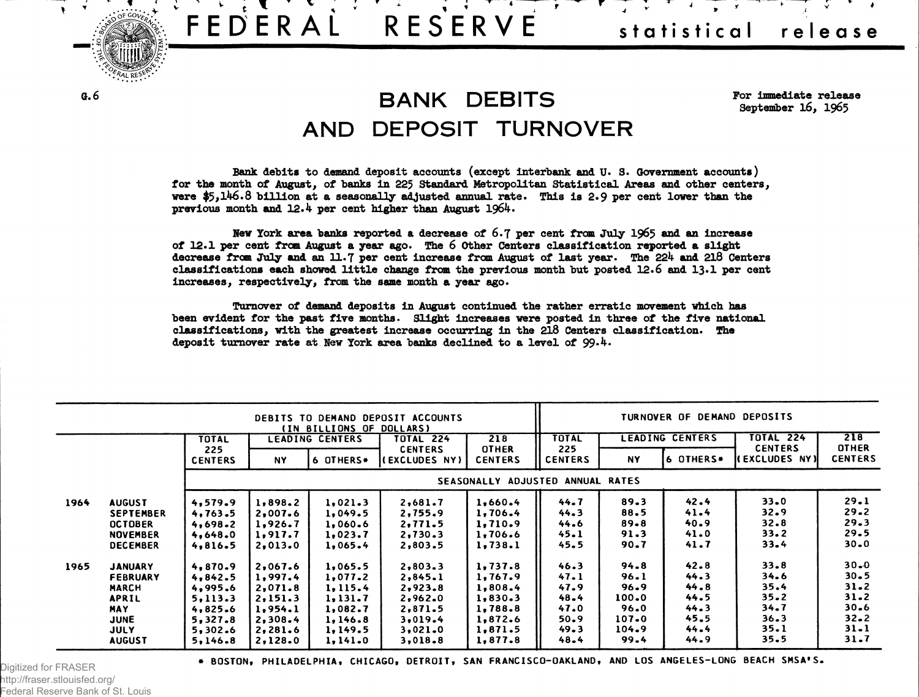

**V ' r**

 $\frac{1}{2}$   $\frac{1}{2}$   $\frac{1}{2}$   $\frac{1}{2}$   $\frac{1}{2}$   $\frac{1}{2}$   $\frac{1}{2}$   $\frac{1}{2}$ 

## **a.6 BANK DEBITS** AND DEPOSIT TURNOVER

**For immediate release September 16, 1965**

**Bank debits to demand deposit accounts (except interbank and U. 3. Government accounts) for the month of August, of banks in 225 Standard Metropolitan Statistical Areas and other centers, were \$5,146.8 billion at a seasonally adjusted annual rate. This is 2.9 per cent lower than the previous month and 12.4 per cent higher than August 1964.**

**Hew York area banks reported a decrease of 6.7 per cent from July 1965 and an increase of 12.1 per cent from August a year ago. The 6 Other Centers classification reported a slight** decrease from July and an 11.7 per cent increase from August of last year. The 224 and 218 Centers **classifications each showed little change from the previous month but posted 12.6 and 13\*1 per cent increases, respectively, from the same month a year ago.**

**Turnover of demand deposits in August continued the rather erratic movement which has been evident for the past five months. Slight increases were posted in three of the five national classifications, with the greatest increase occurring in the 218 Centers classification. The deposit turnover rate at New York area banks declined to a level of 99-4.**

|      |                  |                       |           | (IN BILLIONS OF DOLLARS) | DEBITS TO DEMAND DEPOSIT ACCOUNTS |                                |                       |          | TURNOVER OF DEMAND DEPOSITS |                                       |                                |
|------|------------------|-----------------------|-----------|--------------------------|-----------------------------------|--------------------------------|-----------------------|----------|-----------------------------|---------------------------------------|--------------------------------|
|      |                  | TOTAL                 |           | <b>LEADING CENTERS</b>   | TOTAL 224                         | 218                            | <b>TOTAL</b>          |          | LEADING CENTERS             | <b>TOTAL 224</b>                      | 218                            |
|      |                  | 225<br><b>CENTERS</b> | <b>NY</b> | 6 OTHERS*                | <b>CENTERS</b><br>(EXCLUDES NY)   | <b>OTHER</b><br><b>CENTERS</b> | 225<br><b>CENTERS</b> | NY       | 6 OTHERS*                   | <b>CENTERS</b><br><b>EXCLUDES NY)</b> | <b>OTHER</b><br><b>CENTERS</b> |
|      |                  |                       |           |                          |                                   | <b>SEASONALLY</b>              | ADJUSTED ANNUAL RATES |          |                             |                                       |                                |
| 1964 | <b>AUGUST</b>    | 4,579.9               | 1,898.2   | 1,021.3                  | 2,681.7                           | 1,660.4                        | 44.7                  | 89.3     | 42.4                        | $33 - 0$                              | 29.1                           |
|      | <b>SEPTEMBER</b> | 4,763.5               | 2,007.6   | 1,049.5                  | 2,755.9                           | 1,706.4                        | 44.3                  | 88.5     | 41.4                        | 32.9                                  | 29.2                           |
|      | <b>OCTOBER</b>   | 4,698.2               | 1,926.7   | 1,060.6                  | 2,771.5                           | 1,710.9                        | 44.6                  | $89 - 8$ | 40.9                        | 32.8                                  | 29.3                           |
|      | <b>NOVEMBER</b>  | 4,648.0               | 1,917.7   | 1,023.7                  | 2,730.3                           | 1,706.6                        | 45.1                  | 91.3     | 41.0                        | 33.2                                  | 29.5                           |
|      | <b>DECEMBER</b>  | 4,816.5               | 2,013.0   | 1,065.4                  | 2,803.5                           | 1,738.1                        | 45.5                  | 90.7     | 41.7                        | 33.4                                  | $30 - 0$                       |
| 1965 | <b>JANUARY</b>   | 4,870.9               | 2,067.6   | 1,065.5                  | 2,803.3                           | 1,737.8                        | 46.3                  | 94.8     | 42.8                        | 33.8                                  | $30 - 0$                       |
|      | FEBRUARY         | 4,842.5               | 1,997.4   | 1,077.2                  | 2,845.1                           | 1,767.9                        | 47.1                  | 96.1     | 44.3                        | 34.6                                  | 30.5                           |
|      | <b>MARCH</b>     | 4,995.6               | 2,071.8   | 1, 115.4                 | 2,923.8                           | 1,808.4                        | 47.9                  | 96.9     | 44.8                        | 35.4                                  | $31 - 2$                       |
|      | <b>APRIL</b>     | 5,113.3               | 2,151.3   | 1,131.7                  | 2,962.0                           | 1,830.3                        | 48.4                  | 100.0    | 44.5                        | $35 - 2$                              | 31.2                           |
|      | <b>MAY</b>       | 4,825.6               | 1,954.1   | 1,082.7                  | 2,871.5                           | 1,788.8                        | 47.0                  | 96.0     | 44.3                        | 34.7                                  | $30 - 6$                       |
|      | <b>JUNE</b>      | 5,327.8               | 2,308.4   | 1, 146.8                 | 3,019.4                           | 1,872.6                        | 50.9                  | 107.0    | 45.5                        | $36 - 3$                              | $32 - 2$                       |
|      | <b>JULY</b>      | 5,302.6               | 2,281.6   | 1,149.5                  | 3,021.0                           | 1,871.5                        | 49.3                  | 104.9    | 44.4                        | 35.1                                  | 31.1                           |
|      | <b>AUGUST</b>    | 5,146.8               | 2,128.0   | 1, 141.0                 | 3,018.8                           | 1,877.8                        | 48.4                  | 99.4     | 44.9                        | 35.5                                  | 31.7                           |

Digitized for FRASER http://fraser.stlouisfed.org/ Federal Reserve Bank of St. Louis

 $\ddot{\cdot}$ 

**ILLUM •** *f^AL* **RE^**

\* BOSTON, PHILADELPHIA, CHICAGO, DETROIT, SAN FRANCISCO-OAKLAND, AND LOS ANGELES-LONG BEACH SMSA'S.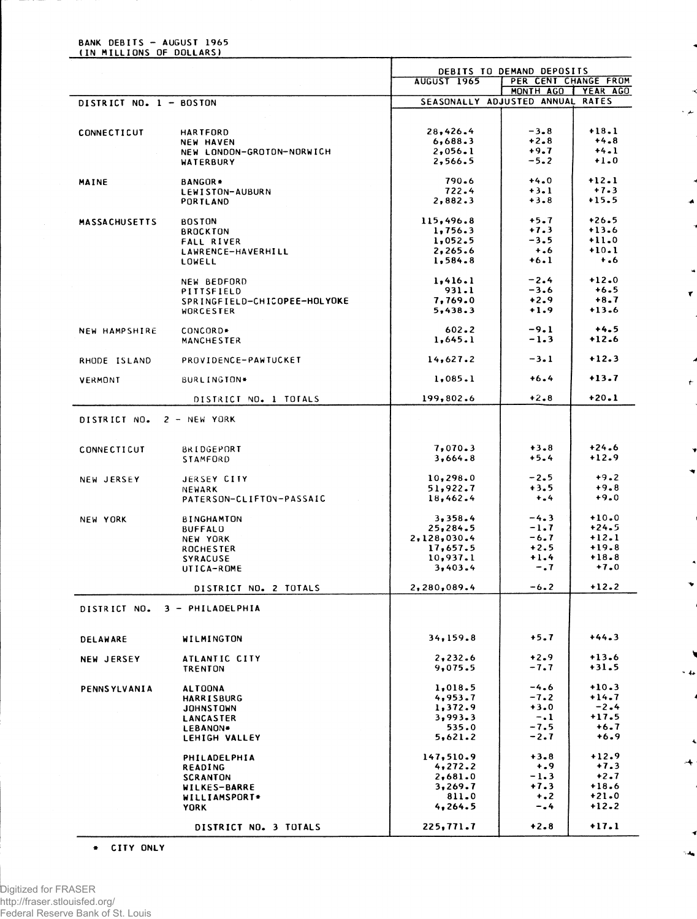## BANK DEBITS - AUGUST 1965<br>(IN MILLIONS OF DOLLARS)

|                         |                                    | DEBITS TO DEMAND DEPOSITS        |                      |         |  |
|-------------------------|------------------------------------|----------------------------------|----------------------|---------|--|
|                         |                                    | <b>AUGUST 1965</b>               | PER CENT CHANGE FROM |         |  |
|                         |                                    | SEASONALLY ADJUSTED ANNUAL RATES | MONTH AGO   YEAR AGO |         |  |
| DISTRICT NO. 1 - BOSTON |                                    |                                  |                      |         |  |
|                         |                                    |                                  |                      |         |  |
| CONNECTICUT             | <b>HARTFORD</b>                    | 28,426.4                         | $-3 - 8$             | $+18.1$ |  |
|                         | <b>NEW HAVEN</b>                   | 6,688.3                          | $+2.8$               | $+4.8$  |  |
|                         | NEW LONDON-GROTON-NORWICH          | 2,056.1                          | $+9.7$               | $+4.1$  |  |
|                         | WATERBURY                          | 2,566.5                          | $-5.2$               | $+1.0$  |  |
| MAINE                   | <b>BANGOR*</b>                     | 790.6                            | $+4.0$               | $+12.1$ |  |
|                         | LEWISTON-AUBURN                    | 722.4                            | $+3.1$               | $+7.3$  |  |
|                         | PORTLAND                           | 2,882.3                          | $+3 - 8$             | $+15.5$ |  |
|                         |                                    | 115,496.8                        | $+5.7$               | $+26.5$ |  |
| <b>MASSACHUSETTS</b>    | <b>BOSTON</b>                      | 1,756.3                          | $+7.3$               | $+13.6$ |  |
|                         | <b>BROCKTON</b>                    | 1,052.5                          | $-3.5$               | $+11.0$ |  |
|                         | <b>FALL RIVER</b>                  |                                  |                      | $+10.1$ |  |
|                         | LAWRENCE-HAVERHILL                 | 2,265.6                          | $+ 0.6$              |         |  |
|                         | LOWELL                             | 1,584.8                          | $+6.1$               | $+ 0.6$ |  |
|                         | NEW BEDFORD                        | 1,416.1                          | $-2.4$               | $+12.0$ |  |
|                         | PITTSFIELD                         | 931.1                            | $-3.6$               | $+6.5$  |  |
|                         | SPRINGFIELD-CHICOPEE-HOLYOKE       | 7,769.0                          | $+2.9$               | $+8.7$  |  |
|                         | WORCESTER                          | 5,438.3                          | $+1.9$               | $+13.6$ |  |
| NEW HAMPSHIRE           | CONCORD*                           | $602 - 2$                        | $-9.1$               | $+4.5$  |  |
|                         | <b>MANCHESTER</b>                  | 1,645.1                          | $-1.3$               | $+12.6$ |  |
|                         |                                    |                                  | $-3.1$               | $+12.3$ |  |
| RHODE ISLAND            | PROVIDENCE-PAWTUCKET               | 14,627.2                         |                      |         |  |
| VERMONT                 | BURLINGTON*                        | 1,085.1                          | $+6.4$               | $+13.7$ |  |
|                         | DISTRICT NO. 1 TOTALS              | 199,802.6                        | $+2.8$               | $+20.1$ |  |
| DISTRICT NO.            | 2 - NEW YORK                       |                                  |                      |         |  |
|                         |                                    |                                  |                      |         |  |
| CONNECTICUT             | BRIDGEPORT                         | 7,070.3                          | $+3.8$               | $+24.6$ |  |
|                         | STAMFORD                           | 3,664.8                          | $+5.4$               | $+12.9$ |  |
|                         | JERSEY CITY                        | 10, 298.0                        | $-2.5$               | $+9.2$  |  |
| NEW JERSEY              |                                    | 51,922.7                         | $+3.5$               | $+9.8$  |  |
|                         | NEWARK<br>PATERSON-CLIFTON-PASSAIC | 18,462.4                         | $+ - 4$              | $+9.0$  |  |
|                         |                                    |                                  |                      |         |  |
| NEW YORK                | <b>BINGHAMTON</b>                  | 3,358.4                          | $-4.3$               | $+10.0$ |  |
|                         | <b>BUFFALO</b>                     | 25,284.5                         | $-1.7$               | $+24.5$ |  |
|                         | NEW YORK                           | 2,128,030.4                      | -6.7                 | $+12.1$ |  |
|                         | <b>ROCHESTER</b>                   | 17,657.5                         | $+2.5$               | $+19.8$ |  |
|                         | <b>SYRACUSE</b>                    | 10,937.1                         | $+1.4$               | $+18.8$ |  |
|                         | UTICA-ROME                         | 3,403.4                          | $-0.7$               | $+7.0$  |  |
|                         | DISTRICT NO. 2 TOTALS              | 2,280,089.4                      | $-6.2$               | $+12.2$ |  |
| DISTRICT NO.            | 3 - PHILADELPHIA                   |                                  |                      |         |  |
| <b>DELAWARE</b>         | WILMINGTON                         | 34,159.8                         | +5.7                 | $+44.3$ |  |
|                         | ATLANTIC CITY                      | 2,232.6                          | $+2.9$               | $+13.6$ |  |
| <b>NEW JERSEY</b>       | <b>TRENTON</b>                     | 9,075.5                          | -7.7                 | $+31.5$ |  |
|                         |                                    |                                  |                      |         |  |
| <b>PENNSYLVANIA</b>     | <b>ALTOONA</b>                     | 1,018.5                          | $-4.6$               | $+10.3$ |  |
|                         | <b>HARRISBURG</b>                  | 4,953.7                          | $-7.2$               | $+14.7$ |  |
|                         | JOHNSTOWN                          | 1,372.9                          | $+3.0$               | $-2.4$  |  |
|                         | LANCASTER                          | 3,993.3                          | $-1$                 | $+17.5$ |  |
|                         | LEBANON*                           | 535.0                            | $-7.5$               | $+6.7$  |  |
|                         | LEHIGH VALLEY                      | 5,621.2                          | $-2.7$               | $+6.9$  |  |
|                         | PHILADELPHIA                       | 147,510.9                        | $+3.8$               | $+12.9$ |  |
|                         | <b>READING</b>                     | 4,272.2                          | $+ 0.9$              | $+7.3$  |  |
|                         | <b>SCRANTON</b>                    | 2,681.0                          | $-1.3$               | $+2.7$  |  |
|                         | WILKES-BARRE                       | 3,269.7                          | $+7.3$               | $+18.6$ |  |
|                         | WILLIAMSPORT*                      | 811.0                            | $+$ .2               | $+21.0$ |  |
|                         | <b>YORK</b>                        | 4,264.5                          | $-0.4$               | $+12.2$ |  |
|                         |                                    |                                  |                      |         |  |
|                         | DISTRICT NO. 3 TOTALS              | 225,771.7                        | $+2.8$               | $+17.1$ |  |

×

×

الغراء

ż

 $\overline{\mathbf{r}}$ 

 $\hat{\mathbf{r}}$ 

 $\blacktriangledown$ 

 $\cdot$  4

 $\ddot{\phantom{0}}$  $\rightarrow$ 

 $^{\circ}$  ,  $A_{\mathbf{q}}$ 

\* CITY ONLY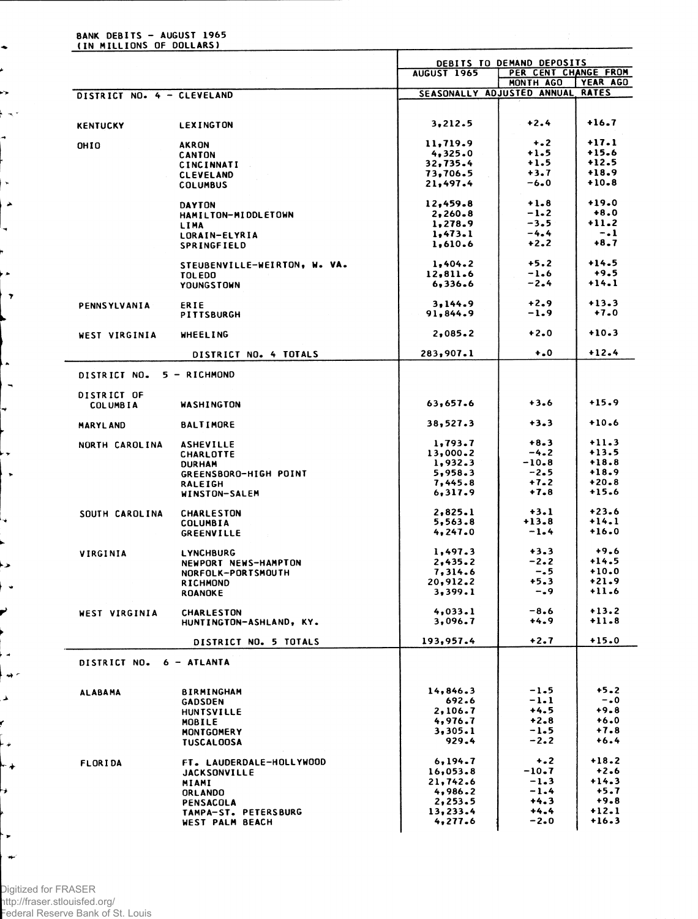## BANK DEBITS - AUGUST 1965<br>(IN MILLIONS OF DOLLARS)

 $\ddot{\phantom{0}}$ ė es.  $\sim$ ÷

ŀ۰ i, A ÷,

> لغ ا  $\overline{\mathbf{r}}$

 $\ddot{\phantom{a}}$  $\overline{\phantom{a}}$ 

 $\cdot$  $\frac{1}{2}$ 

↳

 $\blacktriangleright$  $\ddot{\phantom{1}}$ 

P

k. م هنا Â, ŕ مديا

↳

¥

 $\ddot{\phantom{1}}$  $\rightarrow$ 

| .                          |                                     |                                                                         |                  |                    |  |  |
|----------------------------|-------------------------------------|-------------------------------------------------------------------------|------------------|--------------------|--|--|
|                            |                                     | DEBITS TO DEMAND DEPOSITS<br>PER CENT CHANGE FROM<br><b>AUGUST 1965</b> |                  |                    |  |  |
|                            |                                     |                                                                         | MONTH AGO        | <b>YEAR AGO</b>    |  |  |
| DISTRICT NO. 4 - CLEVELAND |                                     | SEASONALLY ADJUSTED ANNUAL RATES                                        |                  |                    |  |  |
|                            |                                     |                                                                         |                  |                    |  |  |
|                            |                                     |                                                                         |                  |                    |  |  |
| <b>KENTUCKY</b>            | <b>LEXINGTON</b>                    | 3,212.5                                                                 | $+2.4$           | $+16.7$            |  |  |
|                            |                                     |                                                                         | $+ - 2$          | $+17.1$            |  |  |
| OHIO                       | <b>AKRON</b>                        | 11,719.9<br>4,325.0                                                     | $+1.5$           | $+15.6$            |  |  |
|                            | <b>CANTON</b>                       | 32,735.4                                                                | $+1.5$           | $+12.5$            |  |  |
|                            | CINCINNATI                          | 73,706.5                                                                | $+3.7$           | $+18.9$            |  |  |
|                            | <b>CLEVELAND</b><br><b>COLUMBUS</b> | 21,497.4                                                                | $-6 - 0$         | $+10.8$            |  |  |
|                            |                                     |                                                                         |                  |                    |  |  |
|                            | <b>DAYTON</b>                       | 12,459.8                                                                | $+1.8$           | $+19.0$            |  |  |
|                            | HAMILTON-MIDDLETOWN                 | 2,260.8                                                                 | $-1-2$           | $+8.0$             |  |  |
|                            | LIMA                                | 1,278.9                                                                 | $-3.5$           | $+11.2$            |  |  |
|                            | LORAIN-ELYRIA                       | 1,473.1                                                                 | $-4.4$           | $-.1$              |  |  |
|                            | SPRINGFIELD                         | 1,610.6                                                                 | $+2.2$           | $+8.7$             |  |  |
|                            |                                     |                                                                         | $+5.2$           | $+14.5$            |  |  |
|                            | STEUBENVILLE-WEIRTON, W. VA.        | 1,404.2<br>12,811.6                                                     | $-1.6$           | $+9.5$             |  |  |
|                            | <b>TOLEDO</b>                       | 6,336.6                                                                 | $-2.4$           | $+14.1$            |  |  |
|                            | <b>YOUNGSTOWN</b>                   |                                                                         |                  |                    |  |  |
| PENNSYLVANIA               | ERIE                                | 3,144.9                                                                 | $+2.9$           | $+13.3$            |  |  |
|                            | PITTSBURGH                          | 91,844.9                                                                | $-1.9$           | $+7.0$             |  |  |
|                            |                                     |                                                                         |                  |                    |  |  |
| WEST VIRGINIA              | <b>WHEELING</b>                     | 2,085.2                                                                 | $+2.0$           | $+10.3$            |  |  |
|                            | DISTRICT NO. 4 TOTALS               | 283,907.1                                                               | $\ddotsc$        | $+12.4$            |  |  |
|                            |                                     |                                                                         |                  |                    |  |  |
| DISTRICT NO.               | 5 - RICHMOND                        |                                                                         |                  |                    |  |  |
|                            |                                     |                                                                         |                  |                    |  |  |
| DISTRICT OF                |                                     | 63,657.6                                                                | $+3.6$           | $+15.9$            |  |  |
| <b>COLUMBIA</b>            | <b>WASHINGTON</b>                   |                                                                         |                  |                    |  |  |
| <b>MARYLAND</b>            | <b>BALTIMORE</b>                    | 38,527.3                                                                | $+3.3$           | $+10.6$            |  |  |
|                            |                                     |                                                                         |                  |                    |  |  |
| NORTH CAROLINA             | <b>ASHEVILLE</b>                    | 1,793.7                                                                 | $+8.3$           | $+11.3$            |  |  |
|                            | CHARLOTTE                           | 13,000.2                                                                | $-4.2$           | $+13.5$            |  |  |
|                            | <b>DURHAM</b>                       | 1,932.3                                                                 | $-10.8$          | $+18.8$            |  |  |
|                            | GREENSBORO-HIGH POINT               | 5,958.3                                                                 | $-2.5$           | $+18.9$            |  |  |
|                            | <b>RALEIGH</b>                      | 7,445.8                                                                 | $+7.2$<br>$+7.8$ | $+20.8$<br>$+15.6$ |  |  |
|                            | WINSTON-SALEM                       | 6,317.9                                                                 |                  |                    |  |  |
| SOUTH CAROLINA             | <b>CHARLESTON</b>                   | 2,825.1                                                                 | $+3.1$           | $+23.6$            |  |  |
|                            | <b>COLUMBIA</b>                     | 5,563.8                                                                 | $+13.8$          | $+14.1$            |  |  |
|                            | <b>GREENVILLE</b>                   | 4, 247.0                                                                | $-1.4$           | $+16.0$            |  |  |
|                            |                                     |                                                                         |                  |                    |  |  |
| VIRGINIA                   | <b>LYNCHBURG</b>                    | 1,497.3                                                                 | $+3.3$           | $+9.6$             |  |  |
|                            | NEWPORT NEWS-HAMPTON                | 2,435.2                                                                 | $-2.2$           | $+14.5$            |  |  |
|                            | NORFOLK-PORTSMOUTH                  | 7,314.6                                                                 | $-0.5$           | $+10.0$<br>$+21.9$ |  |  |
|                            | RICHMOND                            | 20,912.2                                                                | $+5.3$<br>$-0.9$ | $+11.6$            |  |  |
|                            | <b>ROANOKE</b>                      | 3,399.1                                                                 |                  |                    |  |  |
| WEST VIRGINIA              | <b>CHARLESTON</b>                   | 4,033.1                                                                 | $-8.6$           | $+13.2$            |  |  |
|                            | HUNTINGTON-ASHLAND, KY.             | 3,096.7                                                                 | $+4.9$           | $+11.8$            |  |  |
|                            |                                     |                                                                         |                  |                    |  |  |
|                            | DISTRICT NO. 5 TOTALS               | 193.957.4                                                               | $+2.7$           | $+15.0$            |  |  |
|                            |                                     |                                                                         |                  |                    |  |  |
| DISTRICT NO.               | 6 - ATLANTA                         |                                                                         |                  |                    |  |  |
|                            |                                     |                                                                         |                  |                    |  |  |
| <b>ALABAMA</b>             | <b>BIRMINGHAM</b>                   | 14,846.3                                                                | $-1.5$           | $+5.2$             |  |  |
|                            | <b>GADSDEN</b>                      | 692.6                                                                   | $-1.1$           | $-0$               |  |  |
|                            | <b>HUNTSVILLE</b>                   | 2,106.7                                                                 | $+4.5$           | $+9 - 8$           |  |  |
|                            | MOBILE                              | 4,976.7                                                                 | $+2.8$           | $+6.0$             |  |  |
|                            | MONTGOMERY                          | 3,305.1                                                                 | $-1.5$           | $+7.8$             |  |  |
|                            | <b>TUSCALOOSA</b>                   | 929.4                                                                   | $-2.2$           | $+6.4$             |  |  |
|                            | FT. LAUDERDALE-HOLLYWOOD            | 6, 194.7                                                                | $+ 2$            | $+18.2$            |  |  |
| <b>FLORIDA</b>             |                                     | 16,053.8                                                                | $-10.7$          | $+2.6$             |  |  |
|                            | <b>JACKSONVILLE</b>                 | 21,742.6                                                                | $-1.3$           | $+14.3$            |  |  |
|                            | MIAMI<br><b>ORLANDO</b>             | 4,986.2                                                                 | $-1.4$           | $+5.7$             |  |  |
|                            | PENSACOLA                           | 2,253.5                                                                 | $+4.3$           | $+9.8$             |  |  |
|                            | TAMPA-ST. PETERSBURG                | 13,233.4                                                                | $+4.4$           | $+12.1$            |  |  |
|                            | WEST PALM BEACH                     | 4,277.6                                                                 | $-2.0$           | $+16.3$            |  |  |
|                            |                                     |                                                                         |                  |                    |  |  |

Digitized for FRASER<br>http://fraser.stlouisfed.org/<br>Federal Reserve Bank of St. Louis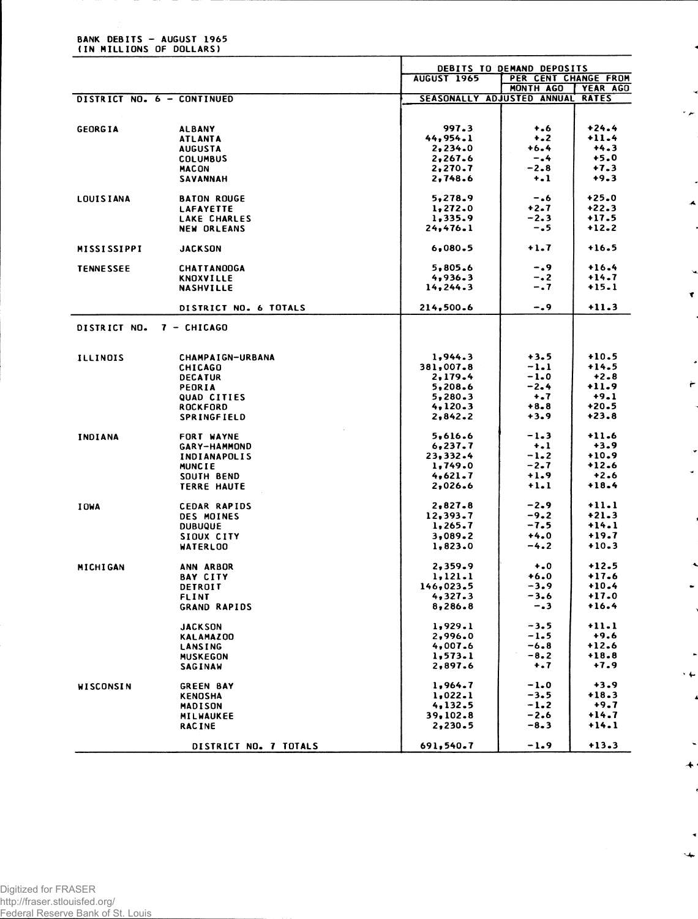|                          |  | <b>BANK DEBITS - AUGUST 1965</b> |  |
|--------------------------|--|----------------------------------|--|
| (IN MILLIONS OF DOLLARS) |  |                                  |  |

|                            |                                 | DEBITS TO DEMAND DEPOSITS  |                      |                          |  |
|----------------------------|---------------------------------|----------------------------|----------------------|--------------------------|--|
|                            |                                 | <b>AUGUST 1965</b>         | PER CENT CHANGE FROM |                          |  |
| DISTRICT NO. 6 - CONTINUED |                                 | SEASONALLY ADJUSTED ANNUAL | MONTH AGO            | YEAR AGO<br><b>RATES</b> |  |
|                            |                                 |                            |                      |                          |  |
|                            |                                 |                            |                      |                          |  |
| <b>GEORGIA</b>             | <b>ALBANY</b>                   | 997.3                      | $+ 0.6$              | $+24.4$                  |  |
|                            | <b>ATLANTA</b>                  | 44,954.1                   | $+2$                 | $+11.4$                  |  |
|                            | <b>AUGUSTA</b>                  | 2,234.0<br>2,267.6         | $+6.4$<br>-.4        | $+4.3$<br>$+5.0$         |  |
|                            | <b>COLUMBUS</b><br><b>MACON</b> | 2,270.7                    | $-2.8$               | $+7.3$                   |  |
|                            | SAVANNAH                        | 2,748.6                    | $+ - 1$              | $+9.3$                   |  |
|                            |                                 |                            |                      |                          |  |
| <b>LOUISIANA</b>           | <b>BATON ROUGE</b>              | 5,278.9                    | -.6                  | $+25.0$                  |  |
|                            | <b>LAFAYETTE</b>                | 1,272.0                    | $+2.7$               | $+22.3$                  |  |
|                            | LAKE CHARLES                    | 1,335.9                    | $-2-3$               | $+17.5$                  |  |
|                            | <b>NEW ORLEANS</b>              | 24,476.1                   | $-1.5$               | $+12.2$                  |  |
| <b>MISSISSIPPI</b>         | <b>JACKSON</b>                  | 6,080.5                    | $+1.7$               | $+16.5$                  |  |
| <b>TENNESSEE</b>           | <b>CHATTANOOGA</b>              | 5,805.6                    | -.9                  | $+16.4$                  |  |
|                            | <b>KNOXVILLE</b>                | 4,936.3                    | $-0.2$               | $+14.7$                  |  |
|                            | <b>NASHVILLE</b>                | 14, 244.3                  | $-0.7$               | $+15.1$                  |  |
|                            | DISTRICT NO. 6 TOTALS           | 214,500.6                  | $-0.9$               | $+11.3$                  |  |
|                            |                                 |                            |                      |                          |  |
| DISTRICT NO.               | 7 - CHICAGO                     |                            |                      |                          |  |
|                            |                                 |                            |                      |                          |  |
| <b>ILLINOIS</b>            | <b>CHAMPAIGN-URBANA</b>         | 1,944.3                    | $+3.5$               | $+10.5$                  |  |
|                            | <b>CHICAGO</b>                  | 381,007.8                  | $-1.1$               | $+14.5$                  |  |
|                            | <b>DECATUR</b>                  | 2,179.4                    | $-1.0$               | $+2.8$                   |  |
|                            | PEORIA                          | 5,208.6                    | $-2.4$               | $+11.9$                  |  |
|                            | QUAD CITIES                     | 5,280.3                    | $+ 1.7$              | $+9.1$                   |  |
|                            | <b>ROCKFORD</b>                 | 4,120.3                    | $+8.8$               | $+20.5$                  |  |
|                            | SPRINGFIELD                     | 2,842.2                    | $+3.9$               | $+23.8$                  |  |
| INDIANA                    | <b>FORT WAYNE</b>               | 5,616.6                    | $-1.3$               | $+11.6$                  |  |
|                            | <b>GARY-HAMMOND</b>             | 6, 237.7                   | $+ - 1$              | $+3.9$                   |  |
|                            | <b>INDIANAPOLIS</b>             | 23,332.4                   | $-1.2$               | $+10.9$                  |  |
|                            | <b>MUNCIE</b>                   | 1,749.0                    | $-2.7$               | $+12.6$                  |  |
|                            | SOUTH BEND                      | 4,621.7                    | $+1.9$               | $+2.6$                   |  |
|                            | <b>TERRE HAUTE</b>              | 2,026.6                    | $+1.1$               | $+18.4$                  |  |
| <b>I OWA</b>               | <b>CEDAR RAPIDS</b>             | 2,827.8                    | $-2-9$               | $+11.1$                  |  |
|                            | <b>DES MOINES</b>               | 12,393.7                   | $-9.2$               | $+21-3$                  |  |
|                            | <b>DUBUQUE</b>                  | 1,265.7                    | $-7.5$               | $+14.1$                  |  |
|                            | SIOUX CITY                      | 3,089.2                    | $+4.0$               | $+19.7$                  |  |
|                            | <b>WATERLOO</b>                 | 1,823.0                    | $-4.2$               | $+10.3$                  |  |
| <b>MICHIGAN</b>            | ANN ARBOR                       | 2,359.9                    | $+0$                 | $+12.5$                  |  |
|                            | <b>BAY CITY</b>                 | 1,121.1                    | $+6.0$               | $+17.6$                  |  |
|                            | DETROIT                         | 146,023.5                  | $-3.9$               | $+10.4$                  |  |
|                            | FLINT                           | 4,327.3                    | $-3.6$               | $+17.0$                  |  |
|                            | <b>GRAND RAPIDS</b>             | 8,286.8                    | -.3                  | $+16.4$                  |  |
|                            | <b>JACKSON</b>                  | 1,929.1                    | $-3.5$               | $+11.1$                  |  |
|                            | <b>KALAMAZOO</b>                | 2,996.0                    | $-1-5$               | $+9.6$                   |  |
|                            | LANSING                         | 4,007.6                    | $-6 - 8$             | $+12.6$                  |  |
|                            | <b>MUSKEGON</b>                 | 1,573.1                    | $-8.2$               | $+18.8$                  |  |
|                            | SAGINAW                         | 2,897.6                    | $+ .7$               | $+7.9$                   |  |
| WISCONSIN                  | <b>GREEN BAY</b>                | 1,964.7                    | $-1.0$               | $+3.9$                   |  |
|                            | <b>KENOSHA</b>                  | 1,022.1                    | $-3.5$               | $+18.3$                  |  |
|                            | <b>MADISON</b>                  | 4,132.5                    | $-1.2$               | $+9.7$                   |  |
|                            | <b>MILWAUKEE</b>                | 39,102.8                   | $-2.6$               | $+14.7$                  |  |
|                            | <b>RACINE</b>                   | 2,230.5                    | $-8 - 3$             | $+14.1$                  |  |
|                            | DISTRICT NO. 7 TOTALS           | 691,540.7                  | $-1.9$               | $+13.3$                  |  |

×  $\epsilon$   $\mu$ 

 $\boldsymbol{\mathcal{A}}$ 

 $\blacktriangledown$ 

 $\leftarrow$ 

J.

 $\cdot$   $\leftarrow$  $\cdot$ 

> $\tilde{\phantom{a}}$  $\ddot{\phantom{1}}$ <sup>-</sup>

 $\overline{\phantom{a}}$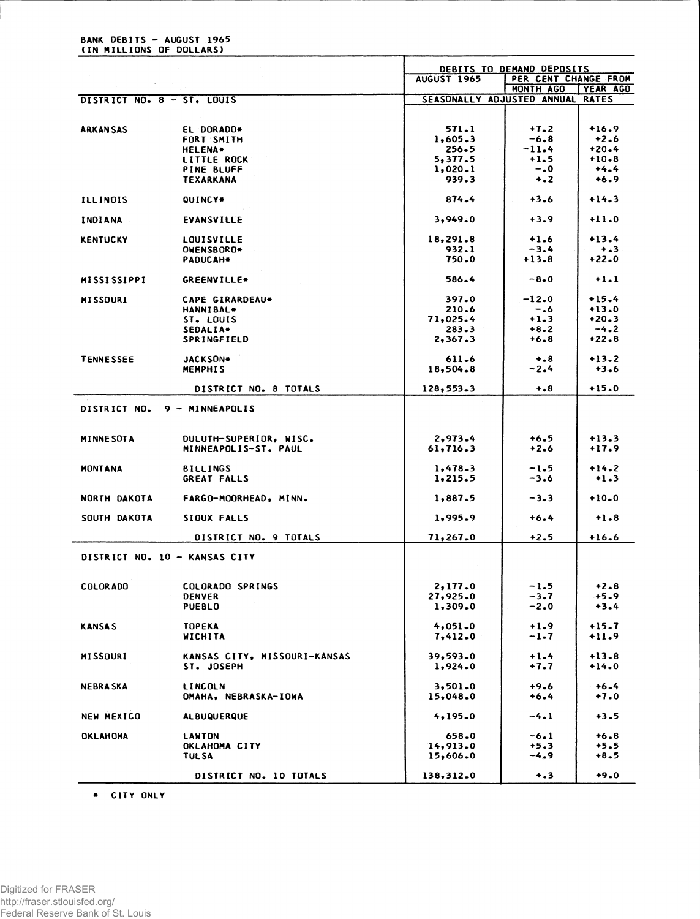|                               |                                  | DEBITS TO DEMAND DEPOSITS        |                      |                    |  |  |
|-------------------------------|----------------------------------|----------------------------------|----------------------|--------------------|--|--|
|                               |                                  | <b>AUGUST 1965</b>               | PER CENT CHANGE FROM |                    |  |  |
|                               |                                  |                                  | MONTH AGO            | <b>YEAR AGO</b>    |  |  |
| DISTRICT NO. 8 - ST. LOUIS    |                                  | SEASONALLY ADJUSTED ANNUAL RATES |                      |                    |  |  |
|                               |                                  | 571.1                            | $+7.2$               | $+16.9$            |  |  |
| ARKAN SAS                     | EL DORADO*<br>FORT SMITH         | 1,605.3                          | $-6 - 8$             | $+2.6$             |  |  |
|                               |                                  | $256 - 5$                        | $-11.4$              | $+20-4$            |  |  |
|                               | <b>HELENA*</b>                   | 5,377.5                          | $+1.5$               | $+10 - 8$          |  |  |
|                               | <b>LITTLE ROCK</b><br>PINE BLUFF |                                  | $-0.0$               | $+4.4$             |  |  |
|                               | <b>TEXARKANA</b>                 | 1,020.1<br>939.3                 | $+2$                 | $+6.9$             |  |  |
|                               |                                  |                                  |                      |                    |  |  |
| <b>ILLINOIS</b>               | QUINCY*                          | 874.4                            | $+3.6$               | $+14.3$            |  |  |
| INDIANA                       | EVANSVILLE                       | 3,949.0                          | $+3.9$               | $+11.0$            |  |  |
| <b>KENTUCKY</b>               | LOUISVILLE                       | 18,291.8                         | $+1.6$               | $+13.4$            |  |  |
|                               | OWENSBORO*                       | 932.1                            | $-3.4$               | $+ - 3$            |  |  |
|                               | PADUCAH*                         | 750.0                            | $+13.8$              | $+22.0$            |  |  |
| <b>MISSISSIPPI</b>            | <b>GREENVILLE*</b>               | 586.4                            | $-8-0$               | $+1.1$             |  |  |
| <b>MISSOURI</b>               | CAPE GIRARDEAU*                  | 397.0                            | $-12.0$              | $+15.4$            |  |  |
|                               | <b>HANNIBAL*</b>                 | 210.6                            | $-0.6$               | $+13.0$            |  |  |
|                               | ST. LOUIS                        | 71,025.4                         | $+1.3$               | $+20.3$            |  |  |
|                               | SEDALIA*                         | 283.3                            | $+8.2$               | $-4.2$             |  |  |
|                               | SPRINGFIELD                      | 2,367.3                          | $+6 - 8$             | $+22.8$            |  |  |
|                               |                                  |                                  |                      |                    |  |  |
| <b>TENNESSEE</b>              | JACKSON*<br><b>MEMPHIS</b>       | 611.6<br>18,504.8                | $+ - 8$<br>$-2.4$    | $+13.2$<br>$+3.6$  |  |  |
|                               |                                  | 128,553.3                        | $+ - 8$              | $+15.0$            |  |  |
|                               | DISTRICT NO. 8 TOTALS            |                                  |                      |                    |  |  |
| DISTRICT NO. 9 - MINNEAPOLIS  |                                  |                                  |                      |                    |  |  |
| <b>MINNE SOT A</b>            | DULUTH-SUPERIOR, WISC.           | 2,973.4                          | +6.5                 | $+13.3$            |  |  |
|                               | MINNEAPOLIS-ST. PAUL             | 61,716.3                         | $+2.6$               | $+17.9$            |  |  |
|                               |                                  |                                  |                      | $+14.2$            |  |  |
| <b>MONTANA</b>                | <b>BILLINGS</b>                  | 1,478.3                          | $-1.5$               |                    |  |  |
|                               | <b>GREAT FALLS</b>               | 1,215.5                          | $-3.6$               | $+1.3$             |  |  |
| NORTH DAKOTA                  | FARGO-MOORHEAD, MINN.            | 1,887.5                          | $-3.3$               | $+10.0$            |  |  |
| SOUTH DAKOTA                  | SIOUX FALLS                      | 1,995.9                          | $+6.4$               | $+1.8$             |  |  |
|                               | DISTRICT NO. 9 TOTALS            | 71,267.0                         | $+2.5$               | $+16.6$            |  |  |
| DISTRICT NO. 10 - KANSAS CITY |                                  |                                  |                      |                    |  |  |
|                               |                                  |                                  |                      |                    |  |  |
| COLOR ADD                     | <b>COLORADO SPRINGS</b>          | 2,177.0                          | $-1.5$               | $+2 - 8$           |  |  |
|                               | <b>DENVER</b>                    | 27,925.0                         | $-3.7$               | $+5.9$             |  |  |
|                               | PUEBLO                           | 1,309.0                          | $-2.0$               | $+3.4$             |  |  |
|                               |                                  |                                  |                      |                    |  |  |
| <b>KANSAS</b>                 | <b>TOPEKA</b><br>WICHITA         | 4,051.0                          | $+1.9$<br>-1.7       | $+15.7$<br>$+11.9$ |  |  |
|                               |                                  | 7,412.0                          |                      |                    |  |  |
| MISSOURI                      | KANSAS CITY, MISSOURI-KANSAS     | 39,593.0                         | $+1.4$               | $+13.8$            |  |  |
|                               | ST. JOSEPH                       | 1,924.0                          | +7.7                 | $+14.0$            |  |  |
|                               |                                  |                                  |                      |                    |  |  |
| <b>NEBRA SKA</b>              | <b>LINCOLN</b>                   | 3,501.0                          | +9.6                 | $+6.4$             |  |  |
|                               | OMAHA, NEBRASKA-IOWA             | 15,048.0                         | +6.4                 | $+7.0$             |  |  |
| <b>NEW MEXICO</b>             | <b>ALBUQUERQUE</b>               | 4,195.0                          | $-4 - 1$             | $+3.5$             |  |  |
| <b>OKLAHOMA</b>               | <b>LAWTON</b>                    | 658.0                            | $-6.1$               | $+6.8$             |  |  |
|                               | OKLAHOMA CITY                    | 14,913.0                         | $+5.3$               | +5.5               |  |  |
|                               | <b>TULSA</b>                     | 15,606.0                         | -4.9                 | $+8.5$             |  |  |
|                               |                                  |                                  |                      |                    |  |  |
|                               | DISTRICT NO. 10 TOTALS           | 138,312.0                        | $+ 3$                | $+9.0$             |  |  |
|                               |                                  |                                  |                      |                    |  |  |

. CITY ONLY